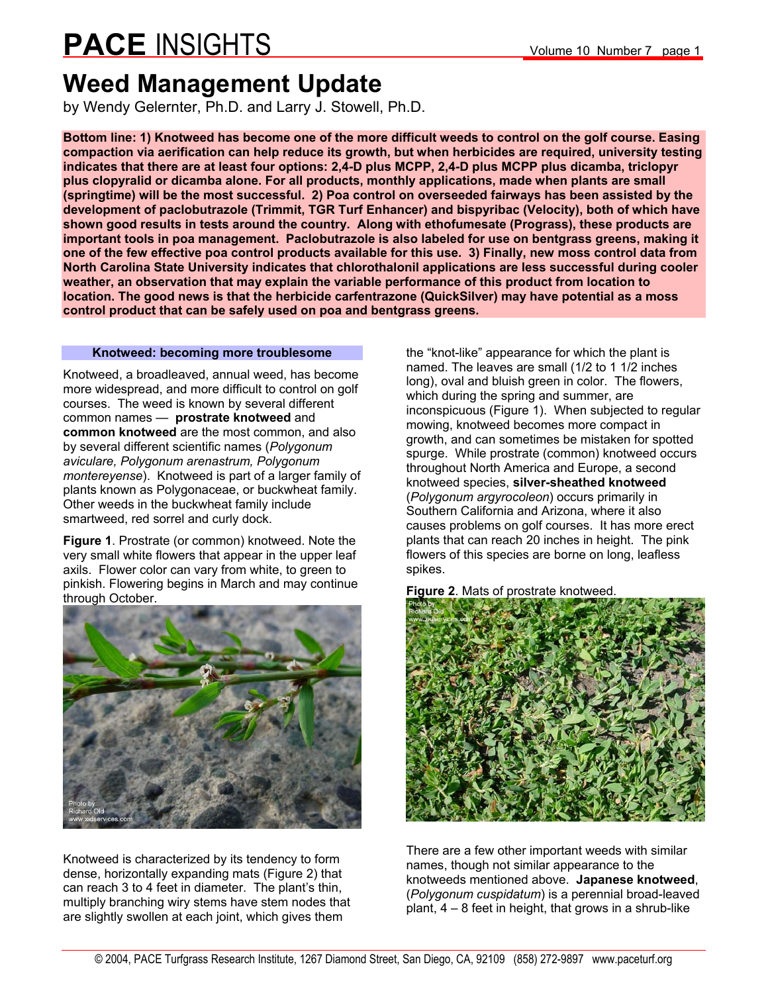### **Weed Management Update**

by Wendy Gelernter, Ph.D. and Larry J. Stowell, Ph.D.

**Bottom line: 1) Knotweed has become one of the more difficult weeds to control on the golf course. Easing compaction via aerification can help reduce its growth, but when herbicides are required, university testing indicates that there are at least four options: 2,4-D plus MCPP, 2,4-D plus MCPP plus dicamba, triclopyr plus clopyralid or dicamba alone. For all products, monthly applications, made when plants are small (springtime) will be the most successful. 2) Poa control on overseeded fairways has been assisted by the development of paclobutrazole (Trimmit, TGR Turf Enhancer) and bispyribac (Velocity), both of which have shown good results in tests around the country. Along with ethofumesate (Prograss), these products are important tools in poa management. Paclobutrazole is also labeled for use on bentgrass greens, making it one of the few effective poa control products available for this use. 3) Finally, new moss control data from North Carolina State University indicates that chlorothalonil applications are less successful during cooler weather, an observation that may explain the variable performance of this product from location to location. The good news is that the herbicide carfentrazone (QuickSilver) may have potential as a moss control product that can be safely used on poa and bentgrass greens.** 

#### **Knotweed: becoming more troublesome**

Knotweed, a broadleaved, annual weed, has become more widespread, and more difficult to control on golf courses. The weed is known by several different common names — **prostrate knotweed** and **common knotweed** are the most common, and also by several different scientific names (*Polygonum aviculare, Polygonum arenastrum, Polygonum montereyense*). Knotweed is part of a larger family of plants known as Polygonaceae, or buckwheat family. Other weeds in the buckwheat family include smartweed, red sorrel and curly dock.

**Figure 1**. Prostrate (or common) knotweed. Note the very small white flowers that appear in the upper leaf axils. Flower color can vary from white, to green to pinkish. Flowering begins in March and may continue through October.



Knotweed is characterized by its tendency to form dense, horizontally expanding mats (Figure 2) that can reach 3 to 4 feet in diameter. The plant's thin, multiply branching wiry stems have stem nodes that are slightly swollen at each joint, which gives them

the "knot-like" appearance for which the plant is named. The leaves are small (1/2 to 1 1/2 inches long), oval and bluish green in color. The flowers, which during the spring and summer, are inconspicuous (Figure 1). When subjected to regular mowing, knotweed becomes more compact in growth, and can sometimes be mistaken for spotted spurge. While prostrate (common) knotweed occurs throughout North America and Europe, a second knotweed species, **silver-sheathed knotweed** (*Polygonum argyrocoleon*) occurs primarily in Southern California and Arizona, where it also causes problems on golf courses. It has more erect plants that can reach 20 inches in height. The pink flowers of this species are borne on long, leafless spikes.

**Figure 2**. Mats of prostrate knotweed.



There are a few other important weeds with similar names, though not similar appearance to the knotweeds mentioned above. **Japanese knotweed**, (*Polygonum cuspidatum*) is a perennial broad-leaved plant, 4 – 8 feet in height, that grows in a shrub-like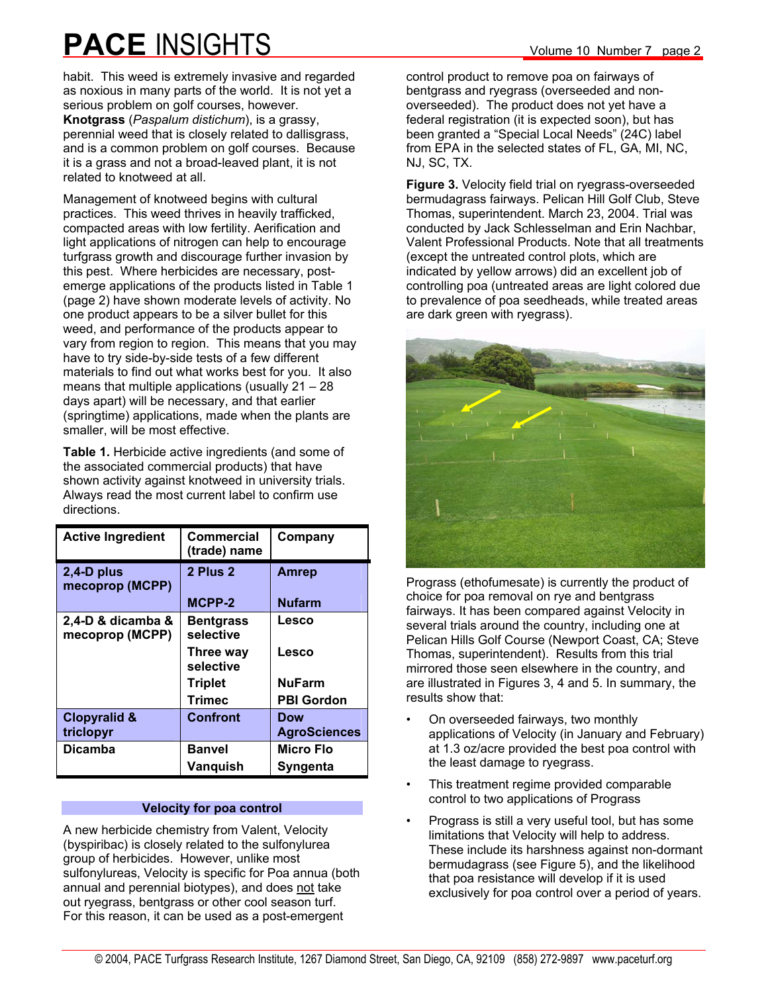habit. This weed is extremely invasive and regarded as noxious in many parts of the world. It is not yet a serious problem on golf courses, however. **Knotgrass** (*Paspalum distichum*), is a grassy, perennial weed that is closely related to dallisgrass, and is a common problem on golf courses. Because it is a grass and not a broad-leaved plant, it is not related to knotweed at all.

Management of knotweed begins with cultural practices. This weed thrives in heavily trafficked, compacted areas with low fertility. Aerification and light applications of nitrogen can help to encourage turfgrass growth and discourage further invasion by this pest. Where herbicides are necessary, postemerge applications of the products listed in Table 1 (page 2) have shown moderate levels of activity. No one product appears to be a silver bullet for this weed, and performance of the products appear to vary from region to region. This means that you may have to try side-by-side tests of a few different materials to find out what works best for you. It also means that multiple applications (usually  $21 - 28$ days apart) will be necessary, and that earlier (springtime) applications, made when the plants are smaller, will be most effective.

**Table 1.** Herbicide active ingredients (and some of the associated commercial products) that have shown activity against knotweed in university trials. Always read the most current label to confirm use directions.

| <b>Active Ingredient</b>             | Commercial<br>(trade) name    | Company             |
|--------------------------------------|-------------------------------|---------------------|
| $2,4$ -D plus<br>mecoprop (MCPP)     | 2 Plus 2                      | <b>Amrep</b>        |
|                                      | MCPP-2                        | <b>Nufarm</b>       |
| 2,4-D & dicamba &<br>mecoprop (MCPP) | <b>Bentgrass</b><br>selective | Lesco               |
|                                      | Three way<br>selective        | Lesco               |
|                                      | <b>Triplet</b>                | <b>NuFarm</b>       |
|                                      | Trimec                        | <b>PBI Gordon</b>   |
| <b>Clopyralid &amp;</b>              | <b>Confront</b>               | Dow                 |
| triclopyr                            |                               | <b>AgroSciences</b> |
| <b>Dicamba</b>                       | <b>Banvel</b>                 | <b>Micro Flo</b>    |
|                                      | Vanquish                      | Syngenta            |

#### **Velocity for poa control**

A new herbicide chemistry from Valent, Velocity (byspiribac) is closely related to the sulfonylurea group of herbicides. However, unlike most sulfonylureas, Velocity is specific for Poa annua (both annual and perennial biotypes), and does not take out ryegrass, bentgrass or other cool season turf. For this reason, it can be used as a post-emergent

control product to remove poa on fairways of bentgrass and ryegrass (overseeded and nonoverseeded). The product does not yet have a federal registration (it is expected soon), but has been granted a "Special Local Needs" (24C) label from EPA in the selected states of FL, GA, MI, NC, NJ, SC, TX.

**Figure 3.** Velocity field trial on ryegrass-overseeded bermudagrass fairways. Pelican Hill Golf Club, Steve Thomas, superintendent. March 23, 2004. Trial was conducted by Jack Schlesselman and Erin Nachbar, Valent Professional Products. Note that all treatments (except the untreated control plots, which are indicated by yellow arrows) did an excellent job of controlling poa (untreated areas are light colored due to prevalence of poa seedheads, while treated areas are dark green with ryegrass).



Prograss (ethofumesate) is currently the product of choice for poa removal on rye and bentgrass fairways. It has been compared against Velocity in several trials around the country, including one at Pelican Hills Golf Course (Newport Coast, CA; Steve Thomas, superintendent). Results from this trial mirrored those seen elsewhere in the country, and are illustrated in Figures 3, 4 and 5. In summary, the results show that:

- On overseeded fairways, two monthly applications of Velocity (in January and February) at 1.3 oz/acre provided the best poa control with the least damage to ryegrass.
- This treatment regime provided comparable control to two applications of Prograss
- Prograss is still a very useful tool, but has some limitations that Velocity will help to address. These include its harshness against non-dormant bermudagrass (see Figure 5), and the likelihood that poa resistance will develop if it is used exclusively for poa control over a period of years.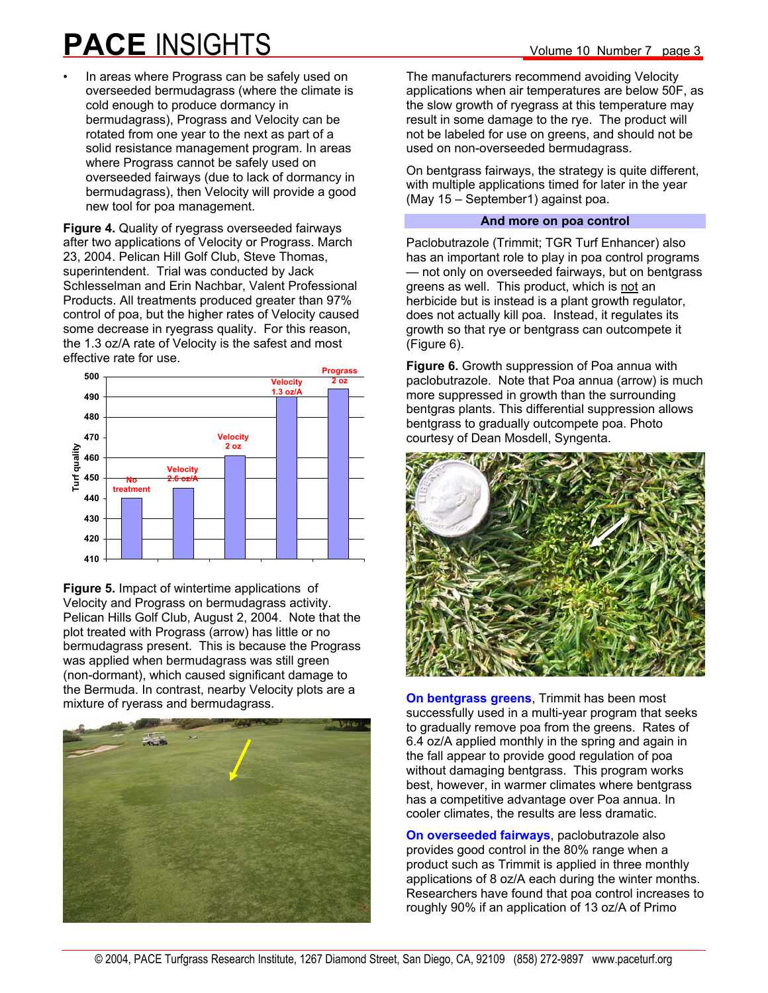In areas where Prograss can be safely used on overseeded bermudagrass (where the climate is cold enough to produce dormancy in bermudagrass), Prograss and Velocity can be rotated from one year to the next as part of a solid resistance management program. In areas where Prograss cannot be safely used on overseeded fairways (due to lack of dormancy in bermudagrass), then Velocity will provide a good new tool for poa management.

**Figure 4.** Quality of ryegrass overseeded fairways after two applications of Velocity or Prograss. March 23, 2004. Pelican Hill Golf Club, Steve Thomas, superintendent. Trial was conducted by Jack Schlesselman and Erin Nachbar, Valent Professional Products. All treatments produced greater than 97% control of poa, but the higher rates of Velocity caused some decrease in ryegrass quality. For this reason, the 1.3 oz/A rate of Velocity is the safest and most effective rate for use.



**Figure 5.** Impact of wintertime applications of Velocity and Prograss on bermudagrass activity. Pelican Hills Golf Club, August 2, 2004. Note that the plot treated with Prograss (arrow) has little or no bermudagrass present. This is because the Prograss was applied when bermudagrass was still green (non-dormant), which caused significant damage to the Bermuda. In contrast, nearby Velocity plots are a mixture of ryerass and bermudagrass.



The manufacturers recommend avoiding Velocity applications when air temperatures are below 50F, as the slow growth of ryegrass at this temperature may result in some damage to the rye. The product will not be labeled for use on greens, and should not be used on non-overseeded bermudagrass.

On bentgrass fairways, the strategy is quite different, with multiple applications timed for later in the year (May 15 – September1) against poa.

#### **And more on poa control**

Paclobutrazole (Trimmit; TGR Turf Enhancer) also has an important role to play in poa control programs — not only on overseeded fairways, but on bentgrass greens as well. This product, which is not an herbicide but is instead is a plant growth regulator, does not actually kill poa. Instead, it regulates its growth so that rye or bentgrass can outcompete it (Figure 6).

**Figure 6.** Growth suppression of Poa annua with paclobutrazole. Note that Poa annua (arrow) is much more suppressed in growth than the surrounding bentgras plants. This differential suppression allows bentgrass to gradually outcompete poa. Photo courtesy of Dean Mosdell, Syngenta.



**On bentgrass greens**, Trimmit has been most successfully used in a multi-year program that seeks to gradually remove poa from the greens. Rates of 6.4 oz/A applied monthly in the spring and again in the fall appear to provide good regulation of poa without damaging bentgrass. This program works best, however, in warmer climates where bentgrass has a competitive advantage over Poa annua. In cooler climates, the results are less dramatic.

**On overseeded fairways**, paclobutrazole also provides good control in the 80% range when a product such as Trimmit is applied in three monthly applications of 8 oz/A each during the winter months. Researchers have found that poa control increases to roughly 90% if an application of 13 oz/A of Primo